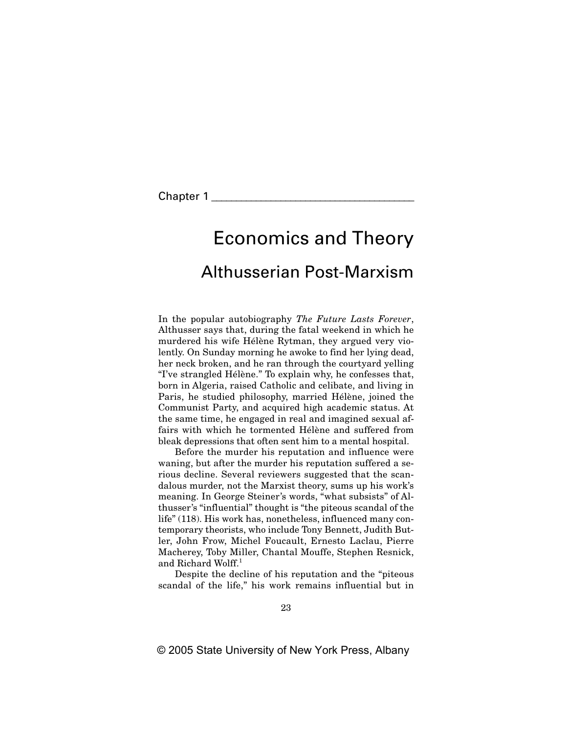Chapter 1

# Economics and Theory Althusserian Post-Marxism

In the popular autobiography *The Future Lasts Forever*, Althusser says that, during the fatal weekend in which he murdered his wife Hélène Rytman, they argued very violently. On Sunday morning he awoke to find her lying dead, her neck broken, and he ran through the courtyard yelling "I've strangled Hélène." To explain why, he confesses that, born in Algeria, raised Catholic and celibate, and living in Paris, he studied philosophy, married Hélène, joined the Communist Party, and acquired high academic status. At the same time, he engaged in real and imagined sexual affairs with which he tormented Hélène and suffered from bleak depressions that often sent him to a mental hospital.

Before the murder his reputation and influence were waning, but after the murder his reputation suffered a serious decline. Several reviewers suggested that the scandalous murder, not the Marxist theory, sums up his work's meaning. In George Steiner's words, "what subsists" of Althusser's "influential" thought is "the piteous scandal of the life" (118). His work has, nonetheless, influenced many contemporary theorists, who include Tony Bennett, Judith Butler, John Frow, Michel Foucault, Ernesto Laclau, Pierre Macherey, Toby Miller, Chantal Mouffe, Stephen Resnick, and Richard Wolff.1

Despite the decline of his reputation and the "piteous scandal of the life," his work remains influential but in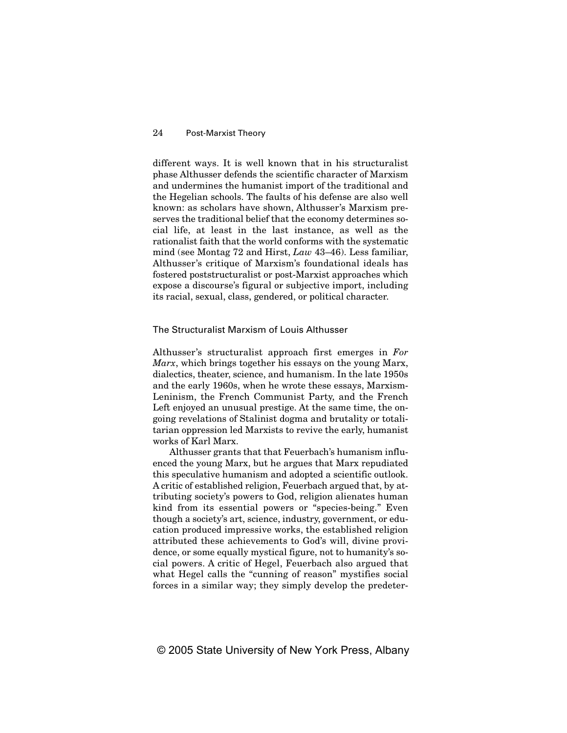different ways. It is well known that in his structuralist phase Althusser defends the scientific character of Marxism and undermines the humanist import of the traditional and the Hegelian schools. The faults of his defense are also well known: as scholars have shown, Althusser's Marxism preserves the traditional belief that the economy determines social life, at least in the last instance, as well as the rationalist faith that the world conforms with the systematic mind (see Montag 72 and Hirst, *Law* 43–46). Less familiar, Althusser's critique of Marxism's foundational ideals has fostered poststructuralist or post-Marxist approaches which expose a discourse's figural or subjective import, including its racial, sexual, class, gendered, or political character.

### The Structuralist Marxism of Louis Althusser

Althusser's structuralist approach first emerges in *For Marx*, which brings together his essays on the young Marx, dialectics, theater, science, and humanism. In the late 1950s and the early 1960s, when he wrote these essays, Marxism-Leninism, the French Communist Party, and the French Left enjoyed an unusual prestige. At the same time, the ongoing revelations of Stalinist dogma and brutality or totalitarian oppression led Marxists to revive the early, humanist works of Karl Marx.

Althusser grants that that Feuerbach's humanism influenced the young Marx, but he argues that Marx repudiated this speculative humanism and adopted a scientific outlook. A critic of established religion, Feuerbach argued that, by attributing society's powers to God, religion alienates human kind from its essential powers or "species-being." Even though a society's art, science, industry, government, or education produced impressive works, the established religion attributed these achievements to God's will, divine providence, or some equally mystical figure, not to humanity's social powers. A critic of Hegel, Feuerbach also argued that what Hegel calls the "cunning of reason" mystifies social forces in a similar way; they simply develop the predeter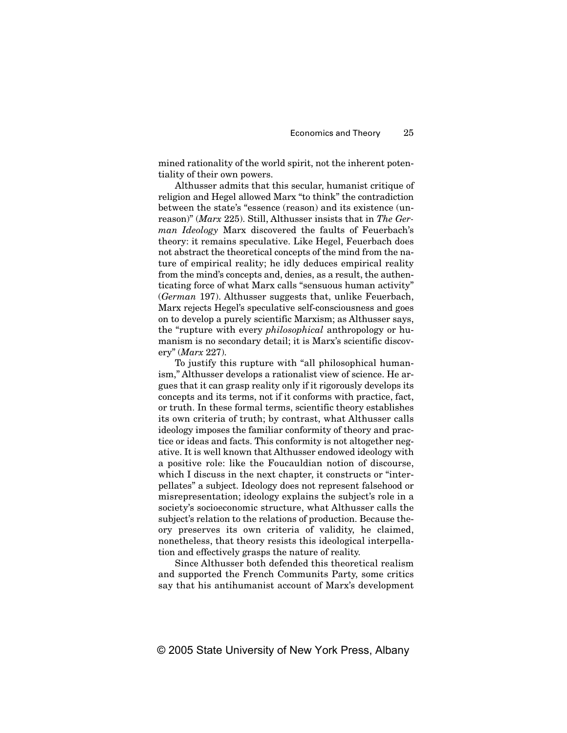mined rationality of the world spirit, not the inherent potentiality of their own powers.

Althusser admits that this secular, humanist critique of religion and Hegel allowed Marx "to think" the contradiction between the state's "essence (reason) and its existence (unreason)" (*Marx* 225). Still, Althusser insists that in *The German Ideology* Marx discovered the faults of Feuerbach's theory: it remains speculative. Like Hegel, Feuerbach does not abstract the theoretical concepts of the mind from the nature of empirical reality; he idly deduces empirical reality from the mind's concepts and, denies, as a result, the authenticating force of what Marx calls "sensuous human activity" (*German* 197). Althusser suggests that, unlike Feuerbach, Marx rejects Hegel's speculative self-consciousness and goes on to develop a purely scientific Marxism; as Althusser says, the "rupture with every *philosophical* anthropology or humanism is no secondary detail; it is Marx's scientific discovery" (*Marx* 227).

To justify this rupture with "all philosophical humanism," Althusser develops a rationalist view of science. He argues that it can grasp reality only if it rigorously develops its concepts and its terms, not if it conforms with practice, fact, or truth. In these formal terms, scientific theory establishes its own criteria of truth; by contrast, what Althusser calls ideology imposes the familiar conformity of theory and practice or ideas and facts. This conformity is not altogether negative. It is well known that Althusser endowed ideology with a positive role: like the Foucauldian notion of discourse, which I discuss in the next chapter, it constructs or "interpellates" a subject. Ideology does not represent falsehood or misrepresentation; ideology explains the subject's role in a society's socioeconomic structure, what Althusser calls the subject's relation to the relations of production. Because theory preserves its own criteria of validity, he claimed, nonetheless, that theory resists this ideological interpellation and effectively grasps the nature of reality.

Since Althusser both defended this theoretical realism and supported the French Communits Party, some critics say that his antihumanist account of Marx's development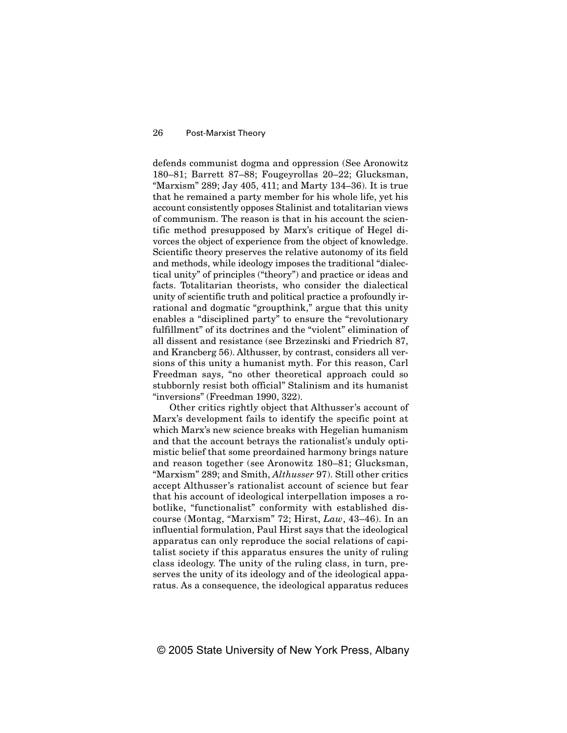defends communist dogma and oppression (See Aronowitz 180–81; Barrett 87–88; Fougeyrollas 20–22; Glucksman, "Marxism" 289; Jay 405, 411; and Marty 134–36). It is true that he remained a party member for his whole life, yet his account consistently opposes Stalinist and totalitarian views of communism. The reason is that in his account the scientific method presupposed by Marx's critique of Hegel divorces the object of experience from the object of knowledge. Scientific theory preserves the relative autonomy of its field and methods, while ideology imposes the traditional "dialectical unity" of principles ("theory") and practice or ideas and facts. Totalitarian theorists, who consider the dialectical unity of scientific truth and political practice a profoundly irrational and dogmatic "groupthink," argue that this unity enables a "disciplined party" to ensure the "revolutionary fulfillment" of its doctrines and the "violent" elimination of all dissent and resistance (see Brzezinski and Friedrich 87, and Krancberg 56). Althusser, by contrast, considers all versions of this unity a humanist myth. For this reason, Carl Freedman says, "no other theoretical approach could so stubbornly resist both official" Stalinism and its humanist "inversions" (Freedman 1990, 322).

Other critics rightly object that Althusser's account of Marx's development fails to identify the specific point at which Marx's new science breaks with Hegelian humanism and that the account betrays the rationalist's unduly optimistic belief that some preordained harmony brings nature and reason together (see Aronowitz 180–81; Glucksman, "Marxism" 289; and Smith, *Althusser* 97). Still other critics accept Althusser's rationalist account of science but fear that his account of ideological interpellation imposes a robotlike, "functionalist" conformity with established discourse (Montag, "Marxism" 72; Hirst, *Law*, 43–46). In an influential formulation, Paul Hirst says that the ideological apparatus can only reproduce the social relations of capitalist society if this apparatus ensures the unity of ruling class ideology. The unity of the ruling class, in turn, preserves the unity of its ideology and of the ideological apparatus. As a consequence, the ideological apparatus reduces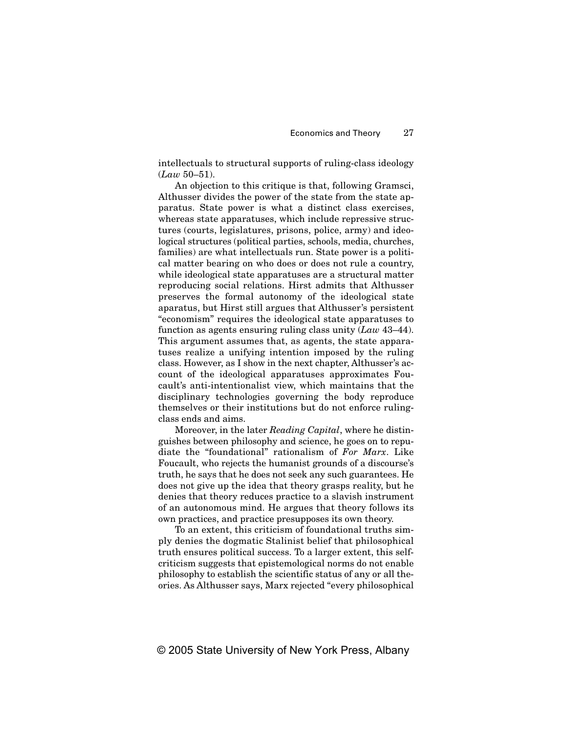intellectuals to structural supports of ruling-class ideology (*Law* 50–51).

An objection to this critique is that, following Gramsci, Althusser divides the power of the state from the state apparatus. State power is what a distinct class exercises, whereas state apparatuses, which include repressive structures (courts, legislatures, prisons, police, army) and ideological structures (political parties, schools, media, churches, families) are what intellectuals run. State power is a political matter bearing on who does or does not rule a country, while ideological state apparatuses are a structural matter reproducing social relations. Hirst admits that Althusser preserves the formal autonomy of the ideological state aparatus, but Hirst still argues that Althusser's persistent "economism" requires the ideological state apparatuses to function as agents ensuring ruling class unity (*Law* 43–44). This argument assumes that, as agents, the state apparatuses realize a unifying intention imposed by the ruling class. However, as I show in the next chapter, Althusser's account of the ideological apparatuses approximates Foucault's anti-intentionalist view, which maintains that the disciplinary technologies governing the body reproduce themselves or their institutions but do not enforce rulingclass ends and aims.

Moreover, in the later *Reading Capital*, where he distinguishes between philosophy and science, he goes on to repudiate the "foundational" rationalism of *For Marx*. Like Foucault, who rejects the humanist grounds of a discourse's truth, he says that he does not seek any such guarantees. He does not give up the idea that theory grasps reality, but he denies that theory reduces practice to a slavish instrument of an autonomous mind. He argues that theory follows its own practices, and practice presupposes its own theory.

To an extent, this criticism of foundational truths simply denies the dogmatic Stalinist belief that philosophical truth ensures political success. To a larger extent, this selfcriticism suggests that epistemological norms do not enable philosophy to establish the scientific status of any or all theories. As Althusser says, Marx rejected "every philosophical

© 2005 State University of New York Press, Albany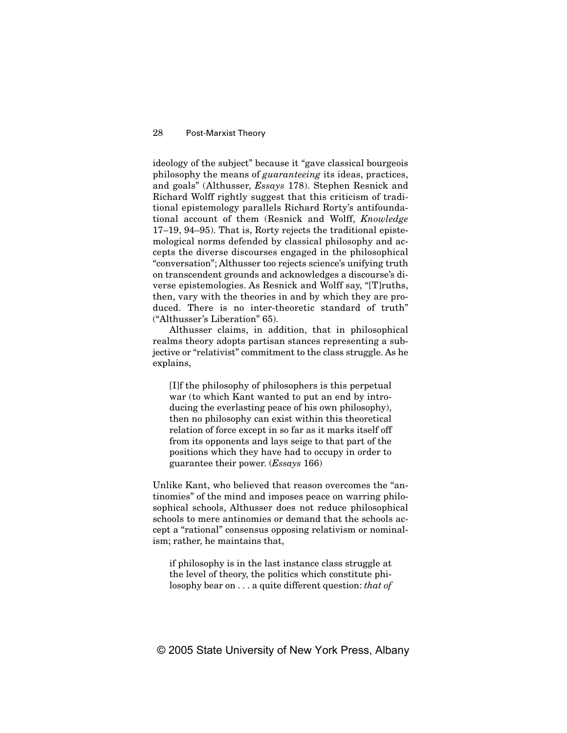ideology of the subject" because it "gave classical bourgeois philosophy the means of *guaranteeing* its ideas, practices, and goals" (Althusser, *Essays* 178). Stephen Resnick and Richard Wolff rightly suggest that this criticism of traditional epistemology parallels Richard Rorty's antifoundational account of them (Resnick and Wolff, *Knowledge* 17–19, 94–95). That is, Rorty rejects the traditional epistemological norms defended by classical philosophy and accepts the diverse discourses engaged in the philosophical "conversation"; Althusser too rejects science's unifying truth on transcendent grounds and acknowledges a discourse's diverse epistemologies. As Resnick and Wolff say, "[T]ruths, then, vary with the theories in and by which they are produced. There is no inter-theoretic standard of truth" ("Althusser's Liberation" 65).

Althusser claims, in addition, that in philosophical realms theory adopts partisan stances representing a subjective or "relativist" commitment to the class struggle. As he explains,

[I]f the philosophy of philosophers is this perpetual war (to which Kant wanted to put an end by introducing the everlasting peace of his own philosophy), then no philosophy can exist within this theoretical relation of force except in so far as it marks itself off from its opponents and lays seige to that part of the positions which they have had to occupy in order to guarantee their power. (*Essays* 166)

Unlike Kant, who believed that reason overcomes the "antinomies" of the mind and imposes peace on warring philosophical schools, Althusser does not reduce philosophical schools to mere antinomies or demand that the schools accept a "rational" consensus opposing relativism or nominalism; rather, he maintains that,

if philosophy is in the last instance class struggle at the level of theory, the politics which constitute philosophy bear on . . . a quite different question: *that of*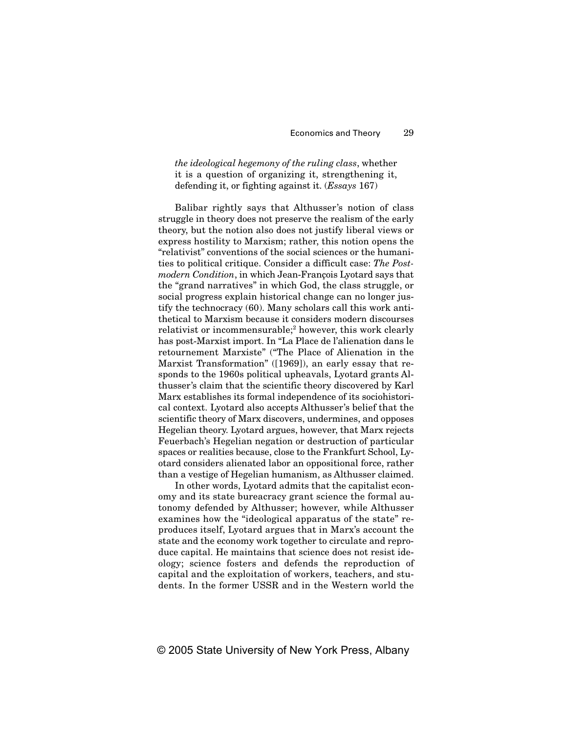## *the ideological hegemony of the ruling class*, whether it is a question of organizing it, strengthening it, defending it, or fighting against it. (*Essays* 167)

Balibar rightly says that Althusser's notion of class struggle in theory does not preserve the realism of the early theory, but the notion also does not justify liberal views or express hostility to Marxism; rather, this notion opens the "relativist" conventions of the social sciences or the humanities to political critique. Consider a difficult case: *The Postmodern Condition*, in which Jean-François Lyotard says that the "grand narratives" in which God, the class struggle, or social progress explain historical change can no longer justify the technocracy (60). Many scholars call this work antithetical to Marxism because it considers modern discourses relativist or incommensurable;<sup>2</sup> however, this work clearly has post-Marxist import. In "La Place de l'alienation dans le retournement Marxiste" ("The Place of Alienation in the Marxist Transformation" ([1969]), an early essay that responds to the 1960s political upheavals, Lyotard grants Althusser's claim that the scientific theory discovered by Karl Marx establishes its formal independence of its sociohistorical context. Lyotard also accepts Althusser's belief that the scientific theory of Marx discovers, undermines, and opposes Hegelian theory. Lyotard argues, however, that Marx rejects Feuerbach's Hegelian negation or destruction of particular spaces or realities because, close to the Frankfurt School, Lyotard considers alienated labor an oppositional force, rather than a vestige of Hegelian humanism, as Althusser claimed.

In other words, Lyotard admits that the capitalist economy and its state bureacracy grant science the formal autonomy defended by Althusser; however, while Althusser examines how the "ideological apparatus of the state" reproduces itself, Lyotard argues that in Marx's account the state and the economy work together to circulate and reproduce capital. He maintains that science does not resist ideology; science fosters and defends the reproduction of capital and the exploitation of workers, teachers, and students. In the former USSR and in the Western world the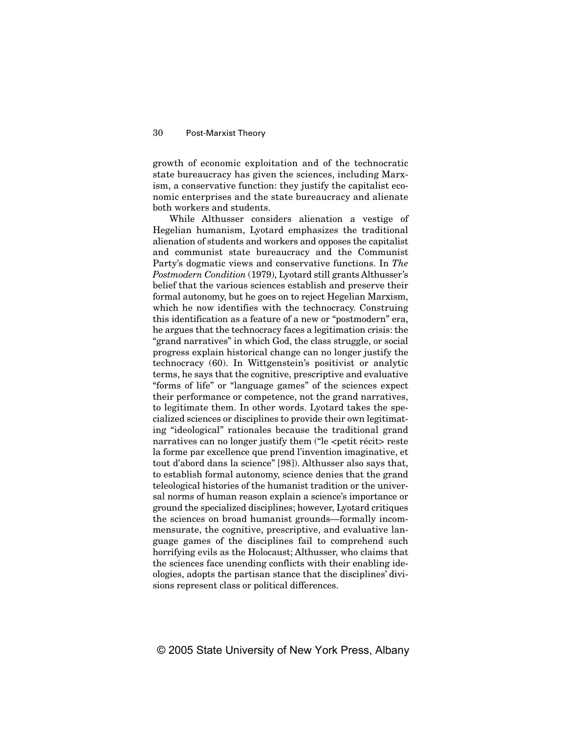growth of economic exploitation and of the technocratic state bureaucracy has given the sciences, including Marxism, a conservative function: they justify the capitalist economic enterprises and the state bureaucracy and alienate both workers and students.

While Althusser considers alienation a vestige of Hegelian humanism, Lyotard emphasizes the traditional alienation of students and workers and opposes the capitalist and communist state bureaucracy and the Communist Party's dogmatic views and conservative functions. In *The Postmodern Condition* (1979), Lyotard still grants Althusser's belief that the various sciences establish and preserve their formal autonomy, but he goes on to reject Hegelian Marxism, which he now identifies with the technocracy. Construing this identification as a feature of a new or "postmodern" era, he argues that the technocracy faces a legitimation crisis: the "grand narratives" in which God, the class struggle, or social progress explain historical change can no longer justify the technocracy (60). In Wittgenstein's positivist or analytic terms, he says that the cognitive, prescriptive and evaluative "forms of life" or "language games" of the sciences expect their performance or competence, not the grand narratives, to legitimate them. In other words. Lyotard takes the specialized sciences or disciplines to provide their own legitimating "ideological" rationales because the traditional grand narratives can no longer justify them ("le <petit récit> reste la forme par excellence que prend l'invention imaginative, et tout d'abord dans la science" [98]). Althusser also says that, to establish formal autonomy, science denies that the grand teleological histories of the humanist tradition or the universal norms of human reason explain a science's importance or ground the specialized disciplines; however, Lyotard critiques the sciences on broad humanist grounds—formally incommensurate, the cognitive, prescriptive, and evaluative language games of the disciplines fail to comprehend such horrifying evils as the Holocaust; Althusser, who claims that the sciences face unending conflicts with their enabling ideologies, adopts the partisan stance that the disciplines' divisions represent class or political differences.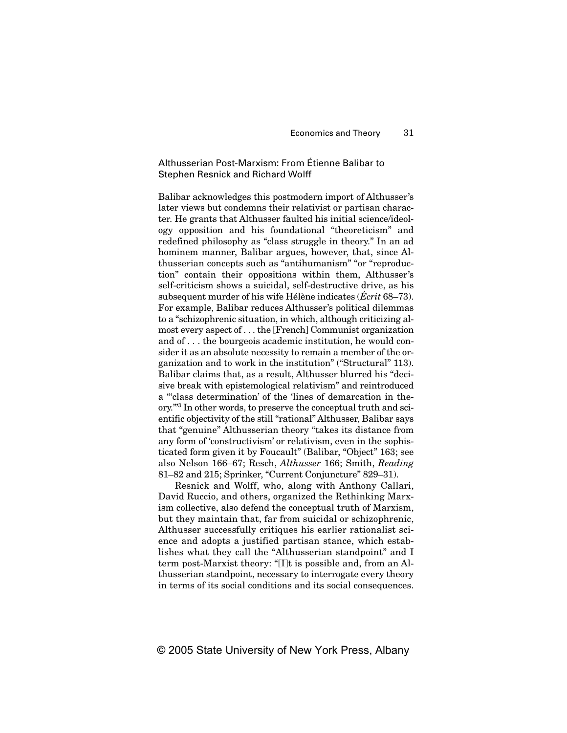## Althusserian Post-Marxism: From Étienne Balibar to Stephen Resnick and Richard Wolff

Balibar acknowledges this postmodern import of Althusser's later views but condemns their relativist or partisan character. He grants that Althusser faulted his initial science/ideology opposition and his foundational "theoreticism" and redefined philosophy as "class struggle in theory." In an ad hominem manner, Balibar argues, however, that, since Althusserian concepts such as "antihumanism" "or "reproduction" contain their oppositions within them, Althusser's self-criticism shows a suicidal, self-destructive drive, as his subsequent murder of his wife Hélène indicates (*Écrit* 68–73). For example, Balibar reduces Althusser's political dilemmas to a "schizophrenic situation, in which, although criticizing almost every aspect of . . . the [French] Communist organization and of . . . the bourgeois academic institution, he would consider it as an absolute necessity to remain a member of the organization and to work in the institution" ("Structural" 113). Balibar claims that, as a result, Althusser blurred his "decisive break with epistemological relativism" and reintroduced a "'class determination' of the 'lines of demarcation in theory.'"3 In other words, to preserve the conceptual truth and scientific objectivity of the still "rational" Althusser, Balibar says that "genuine" Althusserian theory "takes its distance from any form of 'constructivism' or relativism, even in the sophisticated form given it by Foucault" (Balibar, "Object" 163; see also Nelson 166–67; Resch, *Althusser* 166; Smith, *Reading* 81–82 and 215; Sprinker, "Current Conjuncture" 829–31).

Resnick and Wolff, who, along with Anthony Callari, David Ruccio, and others, organized the Rethinking Marxism collective, also defend the conceptual truth of Marxism, but they maintain that, far from suicidal or schizophrenic, Althusser successfully critiques his earlier rationalist science and adopts a justified partisan stance, which establishes what they call the "Althusserian standpoint" and I term post-Marxist theory: "[I]t is possible and, from an Althusserian standpoint, necessary to interrogate every theory in terms of its social conditions and its social consequences.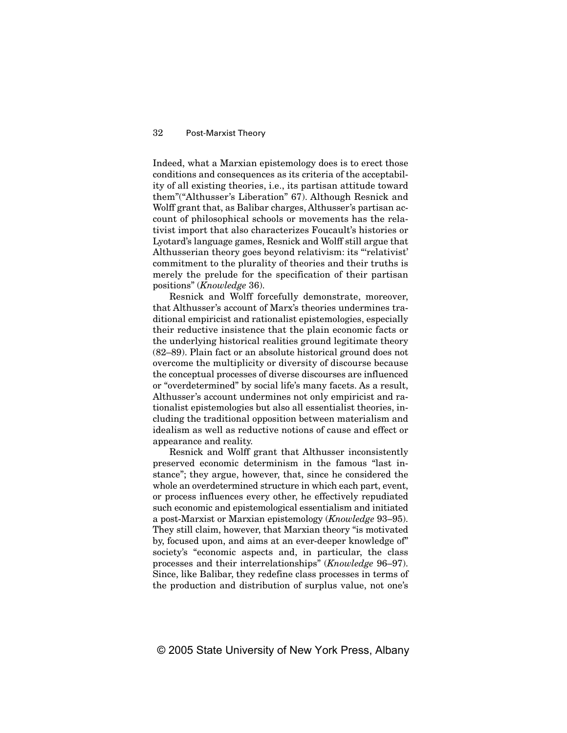Indeed, what a Marxian epistemology does is to erect those conditions and consequences as its criteria of the acceptability of all existing theories, i.e., its partisan attitude toward them"("Althusser's Liberation" 67). Although Resnick and Wolff grant that, as Balibar charges, Althusser's partisan account of philosophical schools or movements has the relativist import that also characterizes Foucault's histories or Lyotard's language games, Resnick and Wolff still argue that Althusserian theory goes beyond relativism: its "'relativist' commitment to the plurality of theories and their truths is merely the prelude for the specification of their partisan positions" (*Knowledge* 36).

Resnick and Wolff forcefully demonstrate, moreover, that Althusser's account of Marx's theories undermines traditional empiricist and rationalist epistemologies, especially their reductive insistence that the plain economic facts or the underlying historical realities ground legitimate theory (82–89). Plain fact or an absolute historical ground does not overcome the multiplicity or diversity of discourse because the conceptual processes of diverse discourses are influenced or "overdetermined" by social life's many facets. As a result, Althusser's account undermines not only empiricist and rationalist epistemologies but also all essentialist theories, including the traditional opposition between materialism and idealism as well as reductive notions of cause and effect or appearance and reality.

Resnick and Wolff grant that Althusser inconsistently preserved economic determinism in the famous "last instance"; they argue, however, that, since he considered the whole an overdetermined structure in which each part, event, or process influences every other, he effectively repudiated such economic and epistemological essentialism and initiated a post-Marxist or Marxian epistemology (*Knowledge* 93–95). They still claim, however, that Marxian theory "is motivated by, focused upon, and aims at an ever-deeper knowledge of" society's "economic aspects and, in particular, the class processes and their interrelationships" (*Knowledge* 96–97). Since, like Balibar, they redefine class processes in terms of the production and distribution of surplus value, not one's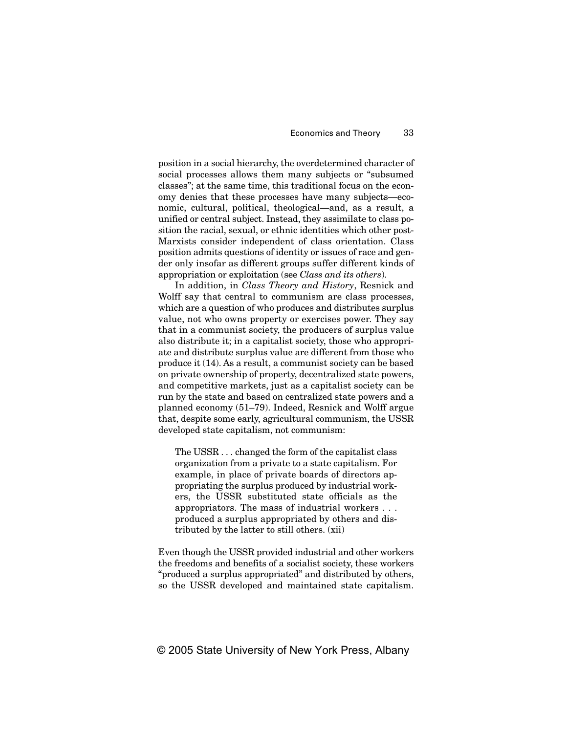position in a social hierarchy, the overdetermined character of social processes allows them many subjects or "subsumed classes"; at the same time, this traditional focus on the economy denies that these processes have many subjects—economic, cultural, political, theological—and, as a result, a unified or central subject. Instead, they assimilate to class position the racial, sexual, or ethnic identities which other post-Marxists consider independent of class orientation. Class position admits questions of identity or issues of race and gender only insofar as different groups suffer different kinds of appropriation or exploitation (see *Class and its others*).

In addition, in *Class Theory and History*, Resnick and Wolff say that central to communism are class processes, which are a question of who produces and distributes surplus value, not who owns property or exercises power. They say that in a communist society, the producers of surplus value also distribute it; in a capitalist society, those who appropriate and distribute surplus value are different from those who produce it (14). As a result, a communist society can be based on private ownership of property, decentralized state powers, and competitive markets, just as a capitalist society can be run by the state and based on centralized state powers and a planned economy (51–79). Indeed, Resnick and Wolff argue that, despite some early, agricultural communism, the USSR developed state capitalism, not communism:

The USSR . . . changed the form of the capitalist class organization from a private to a state capitalism. For example, in place of private boards of directors appropriating the surplus produced by industrial workers, the USSR substituted state officials as the appropriators. The mass of industrial workers . . . produced a surplus appropriated by others and distributed by the latter to still others. (xii)

Even though the USSR provided industrial and other workers the freedoms and benefits of a socialist society, these workers "produced a surplus appropriated" and distributed by others, so the USSR developed and maintained state capitalism.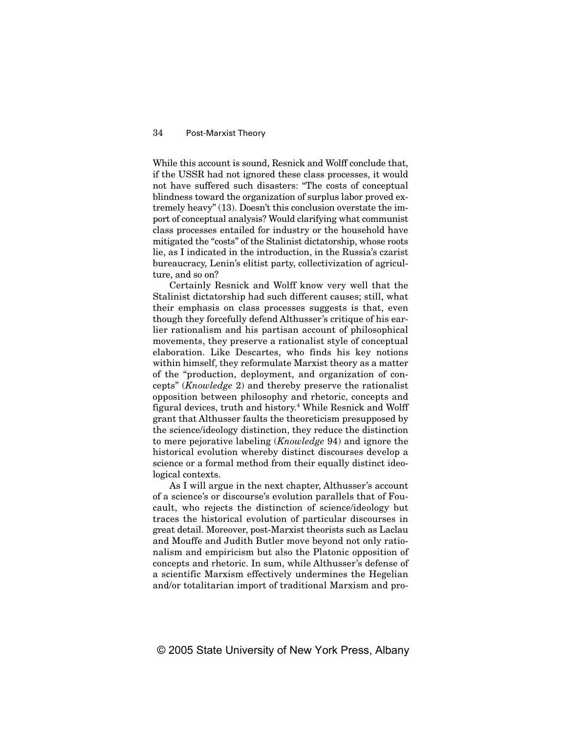While this account is sound, Resnick and Wolff conclude that, if the USSR had not ignored these class processes, it would not have suffered such disasters: "The costs of conceptual blindness toward the organization of surplus labor proved extremely heavy" (13). Doesn't this conclusion overstate the import of conceptual analysis? Would clarifying what communist class processes entailed for industry or the household have mitigated the "costs" of the Stalinist dictatorship, whose roots lie, as I indicated in the introduction, in the Russia's czarist bureaucracy, Lenin's elitist party, collectivization of agriculture, and so on?

Certainly Resnick and Wolff know very well that the Stalinist dictatorship had such different causes; still, what their emphasis on class processes suggests is that, even though they forcefully defend Althusser's critique of his earlier rationalism and his partisan account of philosophical movements, they preserve a rationalist style of conceptual elaboration. Like Descartes, who finds his key notions within himself, they reformulate Marxist theory as a matter of the "production, deployment, and organization of concepts" (*Knowledge* 2) and thereby preserve the rationalist opposition between philosophy and rhetoric, concepts and figural devices, truth and history.<sup>4</sup> While Resnick and Wolff grant that Althusser faults the theoreticism presupposed by the science/ideology distinction, they reduce the distinction to mere pejorative labeling (*Knowledge* 94) and ignore the historical evolution whereby distinct discourses develop a science or a formal method from their equally distinct ideological contexts.

As I will argue in the next chapter, Althusser's account of a science's or discourse's evolution parallels that of Foucault, who rejects the distinction of science/ideology but traces the historical evolution of particular discourses in great detail. Moreover, post-Marxist theorists such as Laclau and Mouffe and Judith Butler move beyond not only rationalism and empiricism but also the Platonic opposition of concepts and rhetoric. In sum, while Althusser's defense of a scientific Marxism effectively undermines the Hegelian and/or totalitarian import of traditional Marxism and pro